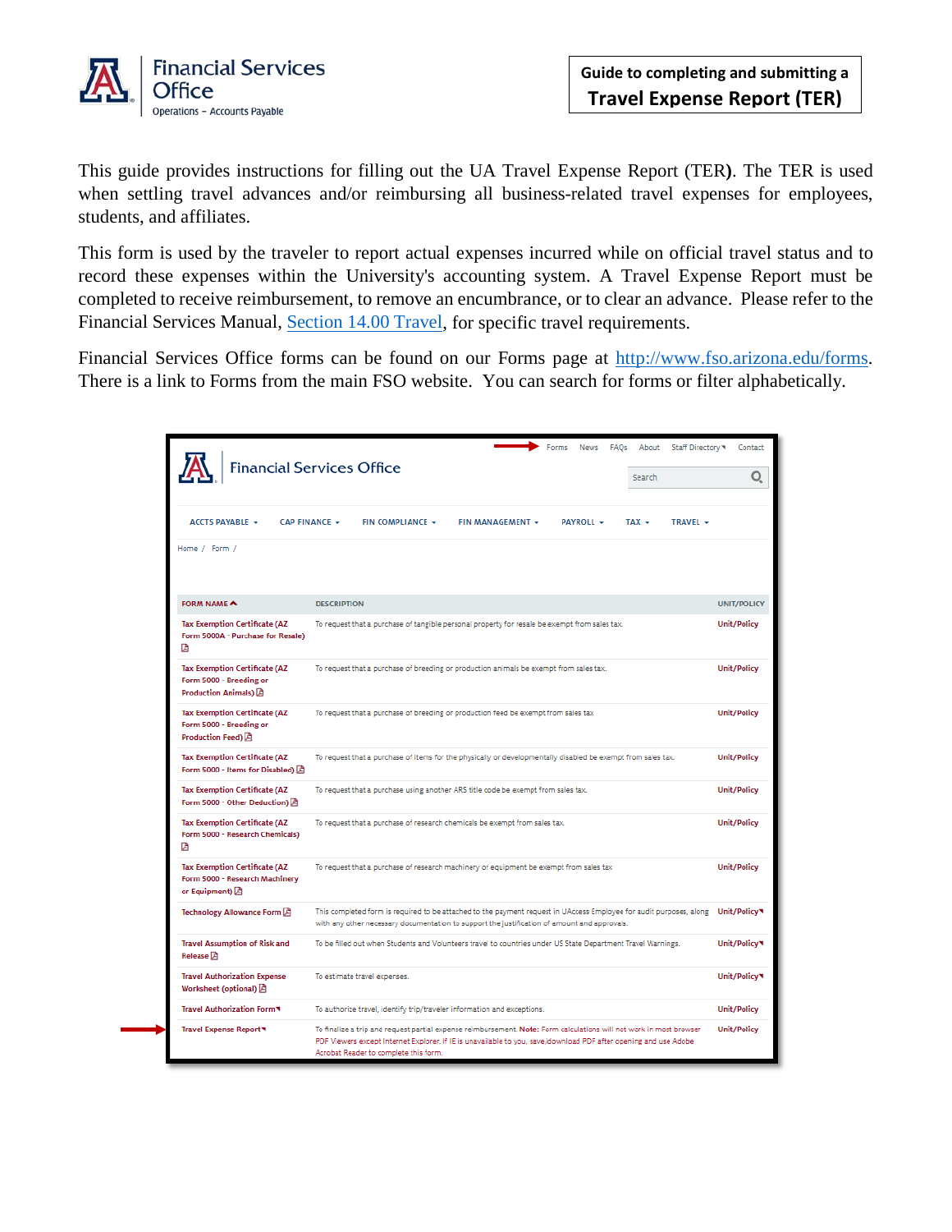

This guide provides instructions for filling out the UA Travel Expense Report (TER**)**. The TER is used when settling travel advances and/or reimbursing all business-related travel expenses for employees, students, and affiliates.

This form is used by the traveler to report actual expenses incurred while on official travel status and to record these expenses within the University's accounting system. A Travel Expense Report must be completed to receive reimbursement, to remove an encumbrance, or to clear an advance. Please refer to the Financial Services Manual, [Section 14.00 Travel,](http://policy.fso.arizona.edu/fsm/1400) for specific travel requirements.

Financial Services Office forms can be found on our Forms page at [http://www.fso.arizona.edu/forms.](http://www.fso.arizona.edu/forms) There is a link to Forms from the main FSO website. You can search for forms or filter alphabetically.

|                                                                                              | Forms<br>About<br>Staff Directory<br><b>News</b><br>FAOs<br><b>Financial Services Office</b><br>Search                                                                                                                                                                           | Contact<br>O.      |  |  |  |  |
|----------------------------------------------------------------------------------------------|----------------------------------------------------------------------------------------------------------------------------------------------------------------------------------------------------------------------------------------------------------------------------------|--------------------|--|--|--|--|
| <b>ACCTS PAYABLE +</b><br>CAP FINANCE +                                                      | FIN COMPLIANCE +<br>FIN MANAGEMENT +<br><b>PAYROLL +</b><br>$TAX -$<br>TRAVEL +                                                                                                                                                                                                  |                    |  |  |  |  |
| Home / Form /                                                                                |                                                                                                                                                                                                                                                                                  |                    |  |  |  |  |
| FORM NAME <                                                                                  | <b>DESCRIPTION</b>                                                                                                                                                                                                                                                               | <b>UNIT/POLICY</b> |  |  |  |  |
| <b>Tax Exemption Certificate (AZ</b><br>Form 5000A - Purchase for Resale)<br>顶               | To request that a purchase of tangible personal property for resale be exempt from sales tax.                                                                                                                                                                                    | Unit/Policy        |  |  |  |  |
| <b>Tax Exemption Certificate (AZ</b><br>Form 5000 - Breeding or<br>Production Animals) A     | To request that a purchase of breeding or production animals be exempt from sales tax.<br>Unit/Policy                                                                                                                                                                            |                    |  |  |  |  |
| <b>Tax Exemption Certificate (AZ</b><br>Form 5000 - Breeding or<br>Production Feed) <b>D</b> | To request that a purchase of breeding or production feed be exempt from sales tax<br>Unit/Policy                                                                                                                                                                                |                    |  |  |  |  |
| <b>Tax Exemption Certificate (AZ</b><br>Form 5000 - Items for Disabled) [A]                  | To request that a purchase of items for the physically or developmentally disabled be exempt from sales tax.                                                                                                                                                                     | Unit/Policy        |  |  |  |  |
| <b>Tax Exemption Certificate (AZ</b><br>Form 5000 - Other Deduction) A                       | To request that a purchase using another ARS title code be exempt from sales tax.                                                                                                                                                                                                | Unit/Policy        |  |  |  |  |
| <b>Tax Exemption Certificate (AZ</b><br>Form 5000 - Research Chemicals)<br>店                 | To request that a purchase of research chemicals be exempt from sales tax.                                                                                                                                                                                                       | Unit/Policy        |  |  |  |  |
| <b>Tax Exemption Certificate (AZ</b><br>Form 5000 - Research Machinery<br>or Equipment) D    | To request that a purchase of research machinery or equipment be exempt from sales tax                                                                                                                                                                                           | Unit/Policy        |  |  |  |  |
| Technology Allowance Form                                                                    | This completed form is required to be attached to the payment request in UAccess Employee for audit purposes, along<br>with any other necessary documentation to support the justification of amount and approvals.                                                              | Unit/Policy        |  |  |  |  |
| <b>Travel Assumption of Risk and</b><br>Release <sup>2</sup>                                 | To be filled out when Students and Volunteers travel to countries under US State Department Travel Warnings.                                                                                                                                                                     | Unit/Policy        |  |  |  |  |
| <b>Travel Authorization Expense</b><br>Worksheet (optional) <a></a>                          | To estimate travel expenses.                                                                                                                                                                                                                                                     | Unit/Policy        |  |  |  |  |
| Travel Authorization Form                                                                    | To authorize travel, identify trip/traveler information and exceptions.                                                                                                                                                                                                          | Unit/Policy        |  |  |  |  |
| Travel Expense Report                                                                        | To finalize a trip and request partial expense reimbursement. Note: Form calculations will not work in most browser<br>PDF Viewers except Internet Explorer. If IE is unavailable to you, save/download PDF after opening and use Adobe<br>Acrobat Reader to complete this form. | Unit/Policy        |  |  |  |  |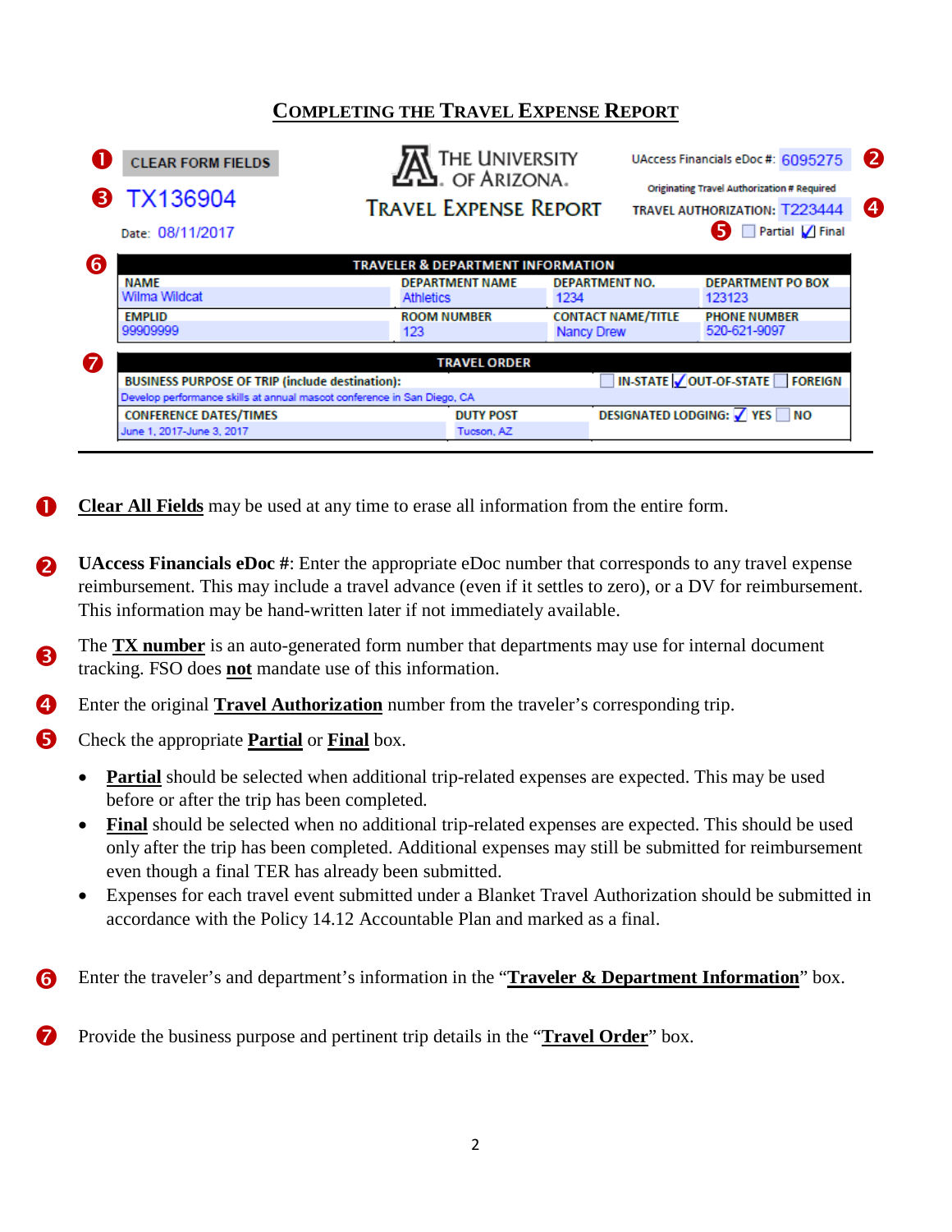# **COMPLETING THE TRAVEL EXPENSE REPORT**

| <b>CLEAR FORM FIELDS</b><br><b>8 TX136904</b><br>Date: 08/11/2017                                 | THE UNIVERSITY<br>$22$ . OF ARIZONA.<br><b>TRAVEL EXPENSE REPORT</b> |                           |                                           | UAccess Financials eDoc #: 6095275<br>Originating Travel Authorization # Required<br><b>TRAVEL AUTHORIZATION: T223444</b><br>5<br>Partial / Final |  |
|---------------------------------------------------------------------------------------------------|----------------------------------------------------------------------|---------------------------|-------------------------------------------|---------------------------------------------------------------------------------------------------------------------------------------------------|--|
|                                                                                                   | <b>TRAVELER &amp; DEPARTMENT INFORMATION</b>                         |                           |                                           |                                                                                                                                                   |  |
| <b>NAME</b>                                                                                       | <b>DEPARTMENT NAME</b>                                               | <b>DEPARTMENT NO.</b>     |                                           | <b>DEPARTMENT PO BOX</b>                                                                                                                          |  |
| Wilma Wildcat                                                                                     | <b>Athletics</b>                                                     | 1234                      |                                           | 123123                                                                                                                                            |  |
| <b>EMPLID</b>                                                                                     | <b>ROOM NUMBER</b>                                                   | <b>CONTACT NAME/TITLE</b> |                                           | <b>PHONE NUMBER</b>                                                                                                                               |  |
| 99909999                                                                                          | 123                                                                  | <b>Nancy Drew</b>         |                                           | 520-621-9097                                                                                                                                      |  |
|                                                                                                   | <b>TRAVEL ORDER</b>                                                  |                           |                                           |                                                                                                                                                   |  |
| <b>BUSINESS PURPOSE OF TRIP (include destination):</b>                                            |                                                                      |                           | IN-STATE   OUT-OF-STATE<br><b>FOREIGN</b> |                                                                                                                                                   |  |
| Develop performance skills at annual mascot conference in San Diego, CA                           |                                                                      |                           |                                           |                                                                                                                                                   |  |
| DESIGNATED LODGING: $\sqrt{ }$ YES $\Box$ NO<br><b>CONFERENCE DATES/TIMES</b><br><b>DUTY POST</b> |                                                                      |                           |                                           |                                                                                                                                                   |  |
| June 1, 2017-June 3, 2017                                                                         | Tucson, AZ                                                           |                           |                                           |                                                                                                                                                   |  |

**Clear All Fields** may be used at any time to erase all information from the entire form. O

- **UAccess Financials eDoc #**: Enter the appropriate eDoc number that corresponds to any travel expense reimbursement. This may include a travel advance (even if it settles to zero), or a DV for reimbursement. This information may be hand-written later if not immediately available. 2
- The **TX number** is an auto-generated form number that departments may use for internal document tracking. FSO does **not** mandate use of this information. A
- Enter the original **Travel Authorization** number from the traveler's corresponding trip. 4
- Check the appropriate **Partial** or **Final** box. 6
	- **Partial** should be selected when additional trip-related expenses are expected. This may be used before or after the trip has been completed.
	- **Final** should be selected when no additional trip-related expenses are expected. This should be used only after the trip has been completed. Additional expenses may still be submitted for reimbursement even though a final TER has already been submitted.
	- Expenses for each travel event submitted under a Blanket Travel Authorization should be submitted in accordance with the Policy 14.12 Accountable Plan and marked as a final.
- Enter the traveler's and department's information in the "**Traveler & Department Information**" box. 6

Provide the business purpose and pertinent trip details in the "**Travel Order**" box. 7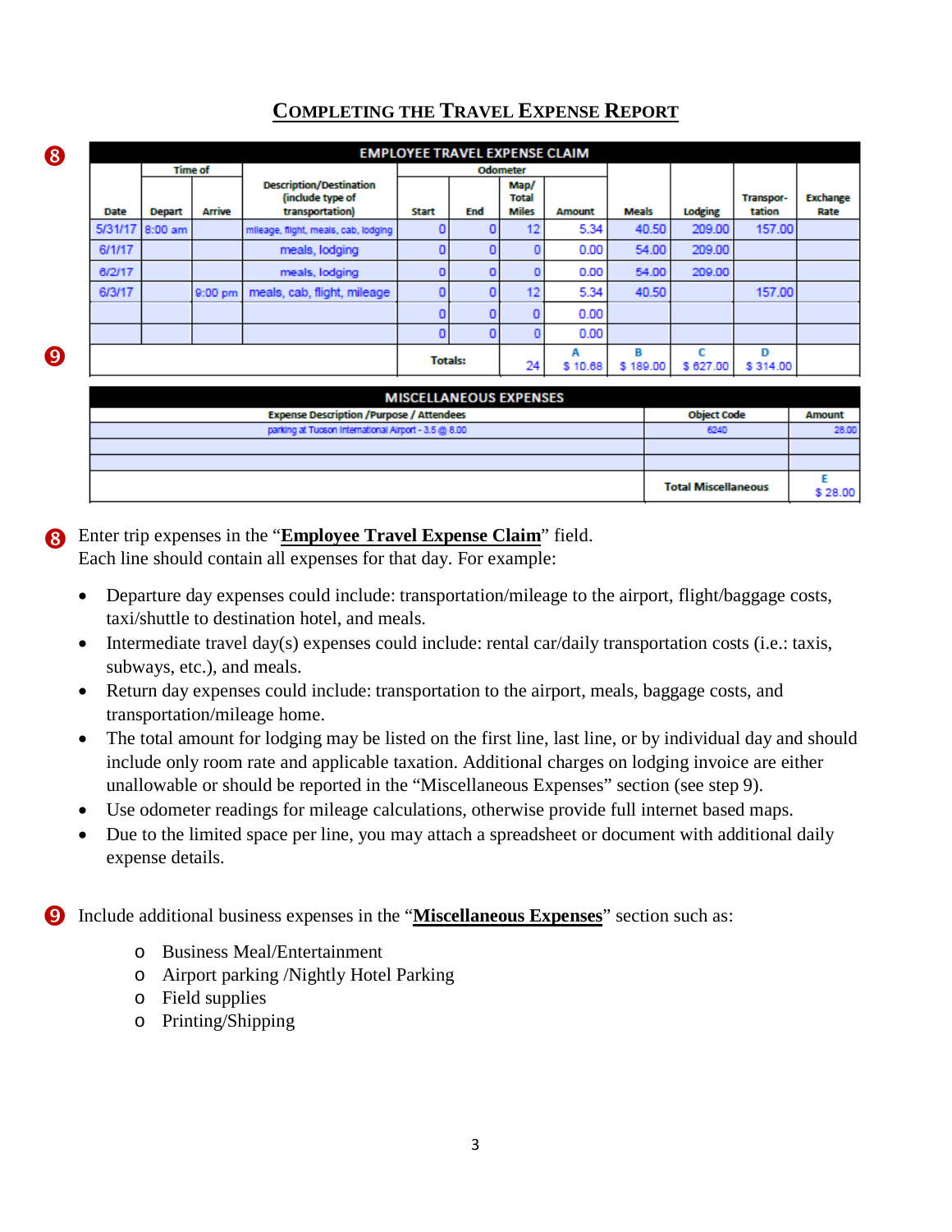|        |                 |         |                                                                       | <b>EMPLOYEE TRAVEL EXPENSE CLAIM</b> |     |                                      |               |               |          |                     |                  |  |
|--------|-----------------|---------|-----------------------------------------------------------------------|--------------------------------------|-----|--------------------------------------|---------------|---------------|----------|---------------------|------------------|--|
|        | <b>Time of</b>  |         |                                                                       |                                      |     | Odometer                             |               |               |          |                     |                  |  |
| Date   | <b>Depart</b>   | Arrive  | <b>Description/Destination</b><br>(include type of<br>transportation) | <b>Start</b>                         | End | Map/<br><b>Total</b><br><b>Miles</b> | <b>Amount</b> | Meals         | Lodging  | Transpor-<br>tation | Exchange<br>Rate |  |
|        | 5/31/17 8:00 am |         | mileage, flight, meals, cab, lodging                                  |                                      |     | 12                                   | 5.34          | 40.50         | 209.00   | 157.00              |                  |  |
| 6/1/17 |                 |         | meals, lodging                                                        |                                      |     |                                      | 0.00          | 54.00         | 209.00   |                     |                  |  |
| 6/2/17 |                 |         | meals, lodging                                                        |                                      |     |                                      | 0.00          | 54.00         | 209.00   |                     |                  |  |
| 6/3/17 |                 | 9:00 pm | meals, cab, flight, mileage                                           |                                      |     | 12                                   | 5.34          | 40.50         |          | 157,00              |                  |  |
|        |                 |         |                                                                       |                                      |     |                                      | 0.00          |               |          |                     |                  |  |
|        |                 |         |                                                                       |                                      |     |                                      | 0.00          |               |          |                     |                  |  |
|        |                 |         |                                                                       | <b>Totals:</b>                       |     | 24                                   | A<br>\$10.68  | в<br>\$189.00 | \$627.00 | D<br>\$314.00       |                  |  |

## **COMPLETING THE TRAVEL EXPENSE REPORT**

| <b>MISCELLANEOUS EXPENSES</b>                        |                            |         |  |  |  |
|------------------------------------------------------|----------------------------|---------|--|--|--|
| <b>Expense Description /Purpose / Attendees</b>      | <b>Object Code</b>         | Amount  |  |  |  |
| parking at Tucson International Airport - 3.5 @ 8.00 | 6240                       | 28.00   |  |  |  |
|                                                      |                            |         |  |  |  |
|                                                      |                            |         |  |  |  |
|                                                      | <b>Total Miscellaneous</b> | \$28.00 |  |  |  |

# Enter trip expenses in the "**Employee Travel Expense Claim**" field.

Each line should contain all expenses for that day. For example:

- Departure day expenses could include: transportation/mileage to the airport, flight/baggage costs, taxi/shuttle to destination hotel, and meals.
- Intermediate travel day(s) expenses could include: rental car/daily transportation costs (i.e.: taxis, subways, etc.), and meals.
- Return day expenses could include: transportation to the airport, meals, baggage costs, and transportation/mileage home.
- The total amount for lodging may be listed on the first line, last line, or by individual day and should include only room rate and applicable taxation. Additional charges on lodging invoice are either unallowable or should be reported in the "Miscellaneous Expenses" section (see step 9).
- Use odometer readings for mileage calculations, otherwise provide full internet based maps.
- Due to the limited space per line, you may attach a spreadsheet or document with additional daily expense details.

Include additional business expenses in the "**Miscellaneous Expenses**" section such as:  $\boldsymbol{\Theta}$ 

- o Business Meal/Entertainment
- o Airport parking /Nightly Hotel Parking
- o Field supplies

8

Q)

o Printing/Shipping